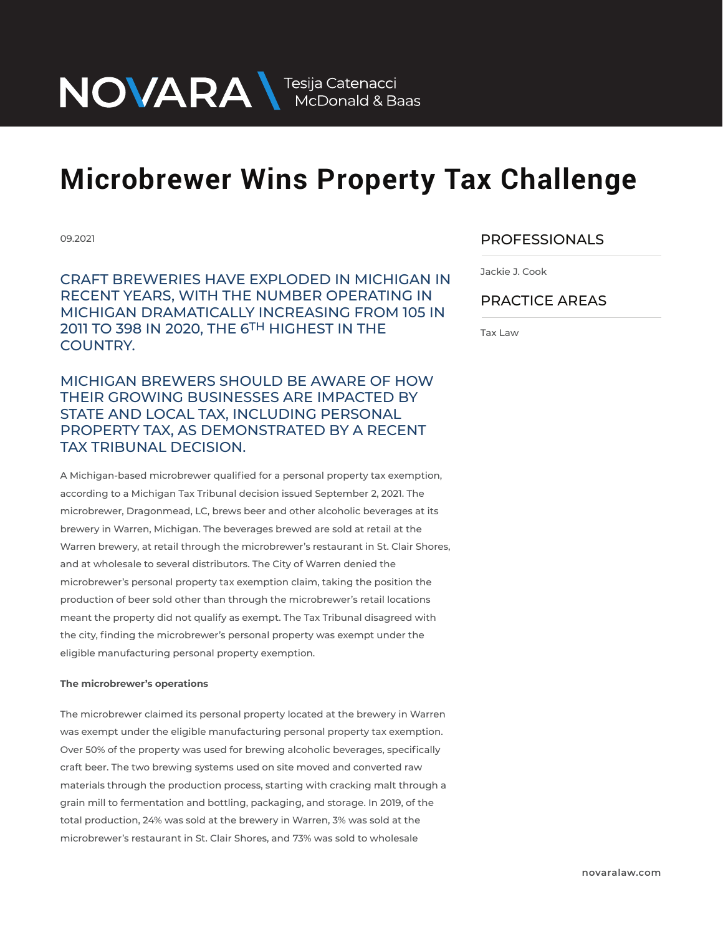NOVARA MEDOnald & Baas

## **Microbrewer Wins Property Tax Challenge**

09.2021

CRAFT BREWERIES HAVE EXPLODED IN MICHIGAN IN RECENT YEARS, WITH THE NUMBER OPERATING IN MICHIGAN DRAMATICALLY INCREASING FROM 105 IN 2011 TO 398 IN 2020, THE 6TH HIGHEST IN THE COUNTRY.

MICHIGAN BREWERS SHOULD BE AWARE OF HOW THEIR GROWING BUSINESSES ARE IMPACTED BY STATE AND LOCAL TAX, INCLUDING PERSONAL PROPERTY TAX, AS DEMONSTRATED BY A RECENT TAX TRIBUNAL DECISION.

A Michigan-based microbrewer qualified for a personal property tax exemption, according to a Michigan Tax Tribunal decision issued September 2, 2021. The microbrewer, Dragonmead, LC, brews beer and other alcoholic beverages at its brewery in Warren, Michigan. The beverages brewed are sold at retail at the Warren brewery, at retail through the microbrewer's restaurant in St. Clair Shores, and at wholesale to several distributors. The City of Warren denied the microbrewer's personal property tax exemption claim, taking the position the production of beer sold other than through the microbrewer's retail locations meant the property did not qualify as exempt. The Tax Tribunal disagreed with the city, finding the microbrewer's personal property was exempt under the eligible manufacturing personal property exemption.

### **The microbrewer's operations**

The microbrewer claimed its personal property located at the brewery in Warren was exempt under the eligible manufacturing personal property tax exemption. Over 50% of the property was used for brewing alcoholic beverages, specifically craft beer. The two brewing systems used on site moved and converted raw materials through the production process, starting with cracking malt through a grain mill to fermentation and bottling, packaging, and storage. In 2019, of the total production, 24% was sold at the brewery in Warren, 3% was sold at the microbrewer's restaurant in St. Clair Shores, and 73% was sold to wholesale

### PROFESSIONALS  $\overline{\phantom{a}}$

Jackie J. Cook

### PRACTICE AREAS  $\overline{\phantom{a}}$

Tax Law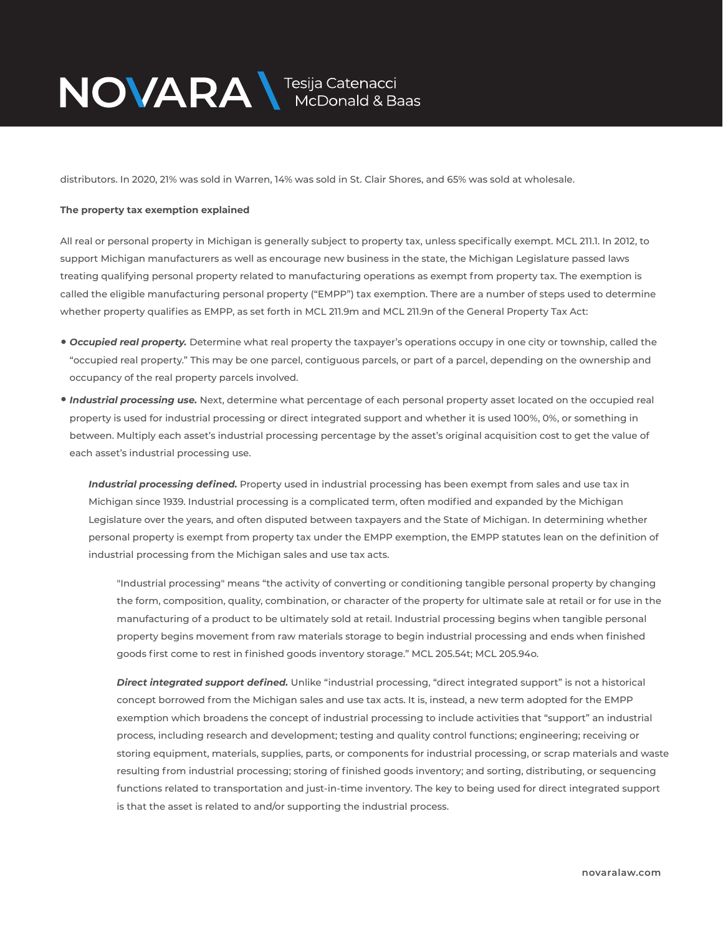

distributors. In 2020, 21% was sold in Warren, 14% was sold in St. Clair Shores, and 65% was sold at wholesale.

### **The property tax exemption explained**

All real or personal property in Michigan is generally subject to property tax, unless specifically exempt. MCL 211.1. In 2012, to support Michigan manufacturers as well as encourage new business in the state, the Michigan Legislature passed laws treating qualifying personal property related to manufacturing operations as exempt from property tax. The exemption is called the eligible manufacturing personal property ("EMPP") tax exemption. There are a number of steps used to determine whether property qualifies as EMPP, as set forth in MCL 211.9m and MCL 211.9n of the General Property Tax Act:

- *Occupied real property.* Determine what real property the taxpayer's operations occupy in one city or township, called the "occupied real property." This may be one parcel, contiguous parcels, or part of a parcel, depending on the ownership and occupancy of the real property parcels involved.
- *Industrial processing use.* Next, determine what percentage of each personal property asset located on the occupied real property is used for industrial processing or direct integrated support and whether it is used 100%, 0%, or something in between. Multiply each asset's industrial processing percentage by the asset's original acquisition cost to get the value of each asset's industrial processing use.

*Industrial processing defined.* Property used in industrial processing has been exempt from sales and use tax in Michigan since 1939. Industrial processing is a complicated term, often modified and expanded by the Michigan Legislature over the years, and often disputed between taxpayers and the State of Michigan. In determining whether personal property is exempt from property tax under the EMPP exemption, the EMPP statutes lean on the definition of industrial processing from the Michigan sales and use tax acts.

"Industrial processing" means "the activity of converting or conditioning tangible personal property by changing the form, composition, quality, combination, or character of the property for ultimate sale at retail or for use in the manufacturing of a product to be ultimately sold at retail. Industrial processing begins when tangible personal property begins movement from raw materials storage to begin industrial processing and ends when finished goods first come to rest in finished goods inventory storage." MCL 205.54t; MCL 205.94o.

*Direct integrated support defined.* Unlike "industrial processing, "direct integrated support" is not a historical concept borrowed from the Michigan sales and use tax acts. It is, instead, a new term adopted for the EMPP exemption which broadens the concept of industrial processing to include activities that "support" an industrial process, including research and development; testing and quality control functions; engineering; receiving or storing equipment, materials, supplies, parts, or components for industrial processing, or scrap materials and waste resulting from industrial processing; storing of finished goods inventory; and sorting, distributing, or sequencing functions related to transportation and just-in-time inventory. The key to being used for direct integrated support is that the asset is related to and/or supporting the industrial process.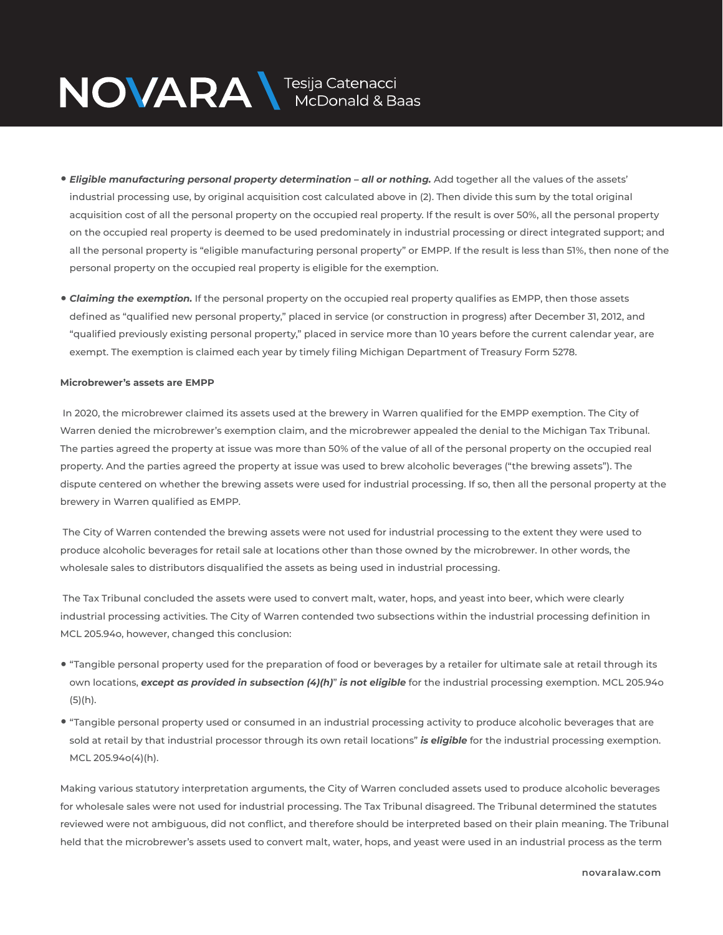# NOVARA MEDOnald & Baas

- *Eligible manufacturing personal property determination all or nothing.* Add together all the values of the assets' industrial processing use, by original acquisition cost calculated above in (2). Then divide this sum by the total original acquisition cost of all the personal property on the occupied real property. If the result is over 50%, all the personal property on the occupied real property is deemed to be used predominately in industrial processing or direct integrated support; and all the personal property is "eligible manufacturing personal property" or EMPP. If the result is less than 51%, then none of the personal property on the occupied real property is eligible for the exemption.
- *Claiming the exemption.* If the personal property on the occupied real property qualifies as EMPP, then those assets defined as "qualified new personal property," placed in service (or construction in progress) after December 31, 2012, and "qualified previously existing personal property," placed in service more than 10 years before the current calendar year, are exempt. The exemption is claimed each year by timely filing Michigan Department of Treasury Form 5278.

### **Microbrewer's assets are EMPP**

 In 2020, the microbrewer claimed its assets used at the brewery in Warren qualified for the EMPP exemption. The City of Warren denied the microbrewer's exemption claim, and the microbrewer appealed the denial to the Michigan Tax Tribunal. The parties agreed the property at issue was more than 50% of the value of all of the personal property on the occupied real property. And the parties agreed the property at issue was used to brew alcoholic beverages ("the brewing assets"). The dispute centered on whether the brewing assets were used for industrial processing. If so, then all the personal property at the brewery in Warren qualified as EMPP.

 The City of Warren contended the brewing assets were not used for industrial processing to the extent they were used to produce alcoholic beverages for retail sale at locations other than those owned by the microbrewer. In other words, the wholesale sales to distributors disqualified the assets as being used in industrial processing.

 The Tax Tribunal concluded the assets were used to convert malt, water, hops, and yeast into beer, which were clearly industrial processing activities. The City of Warren contended two subsections within the industrial processing definition in MCL 205.94o, however, changed this conclusion:

- "Tangible personal property used for the preparation of food or beverages by a retailer for ultimate sale at retail through its own locations, *except as provided in subsection (4)(h)*" *is not eligible* for the industrial processing exemption. MCL 205.94o (5)(h).
- "Tangible personal property used or consumed in an industrial processing activity to produce alcoholic beverages that are sold at retail by that industrial processor through its own retail locations" *is eligible* for the industrial processing exemption. MCL 205.94o(4)(h).

Making various statutory interpretation arguments, the City of Warren concluded assets used to produce alcoholic beverages for wholesale sales were not used for industrial processing. The Tax Tribunal disagreed. The Tribunal determined the statutes reviewed were not ambiguous, did not conflict, and therefore should be interpreted based on their plain meaning. The Tribunal held that the microbrewer's assets used to convert malt, water, hops, and yeast were used in an industrial process as the term